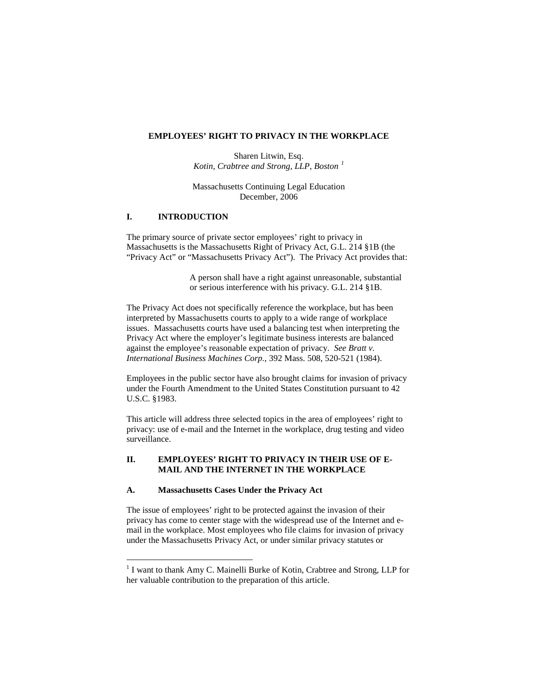#### **EMPLOYEES' RIGHT TO PRIVACY IN THE WORKPLACE**

Sharen Litwin, Esq. *Kotin, Crabtree and Strong, LLP, Boston [1](#page-0-0)*

Massachusetts Continuing Legal Education December, 2006

# **I. INTRODUCTION**

The primary source of private sector employees' right to privacy in Massachusetts is the Massachusetts Right of Privacy Act, G.L. 214 §1B (the "Privacy Act" or "Massachusetts Privacy Act"). The Privacy Act provides that:

> A person shall have a right against unreasonable, substantial or serious interference with his privacy. G.L. 214 §1B.

The Privacy Act does not specifically reference the workplace, but has been interpreted by Massachusetts courts to apply to a wide range of workplace issues. Massachusetts courts have used a balancing test when interpreting the Privacy Act where the employer's legitimate business interests are balanced against the employee's reasonable expectation of privacy. *See Bratt v. International Business Machines Corp.*, 392 Mass. 508, 520-521 (1984).

Employees in the public sector have also brought claims for invasion of privacy under the Fourth Amendment to the United States Constitution pursuant to 42 U.S.C. §1983.

This article will address three selected topics in the area of employees' right to privacy: use of e-mail and the Internet in the workplace, drug testing and video surveillance.

### <span id="page-0-1"></span>**II. EMPLOYEES' RIGHT TO PRIVACY IN THEIR USE OF E-MAIL AND THE INTERNET IN THE WORKPLACE**

#### **A. Massachusetts Cases Under the Privacy Act**

The issue of employees' right to be protected against the invasion of their privacy has come to center stage with the widespread use of the Internet and email in the workplace. Most employees who file claims for invasion of privacy under the Massachusetts Privacy Act, or under similar privacy statutes or

<span id="page-0-0"></span><sup>&</sup>lt;sup>1</sup> I want to thank Amy C. Mainelli Burke of Kotin, Crabtree and Strong, LLP for her valuable contribution to the preparation of this article.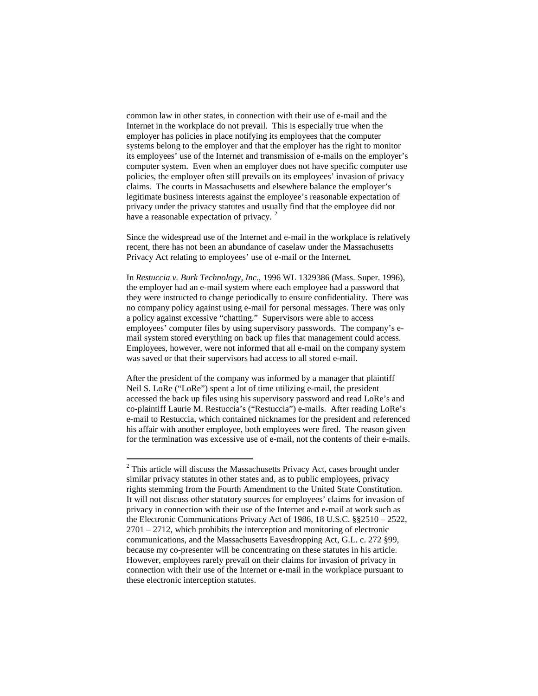common law in other states, in connection with their use of e-mail and the Internet in the workplace do not prevail. This is especially true when the employer has policies in place notifying its employees that the computer systems belong to the employer and that the employer has the right to monitor its employees' use of the Internet and transmission of e-mails on the employer's computer system. Even when an employer does not have specific computer use policies, the employer often still prevails on its employees' invasion of privacy claims. The courts in Massachusetts and elsewhere balance the employer's legitimate business interests against the employee's reasonable expectation of privacy under the privacy statutes and usually find that the employee did not have a reasonable expectation of privacy.<sup>[2](#page-0-1)</sup>

Since the widespread use of the Internet and e-mail in the workplace is relatively recent, there has not been an abundance of caselaw under the Massachusetts Privacy Act relating to employees' use of e-mail or the Internet.

In *Restuccia v. Burk Technology, Inc*., 1996 WL 1329386 (Mass. Super. 1996), the employer had an e-mail system where each employee had a password that they were instructed to change periodically to ensure confidentiality. There was no company policy against using e-mail for personal messages. There was only a policy against excessive "chatting." Supervisors were able to access employees' computer files by using supervisory passwords. The company's email system stored everything on back up files that management could access. Employees, however, were not informed that all e-mail on the company system was saved or that their supervisors had access to all stored e-mail.

After the president of the company was informed by a manager that plaintiff Neil S. LoRe ("LoRe") spent a lot of time utilizing e-mail, the president accessed the back up files using his supervisory password and read LoRe's and co-plaintiff Laurie M. Restuccia's ("Restuccia") e-mails. After reading LoRe's e-mail to Restuccia, which contained nicknames for the president and referenced his affair with another employee, both employees were fired. The reason given for the termination was excessive use of e-mail, not the contents of their e-mails.

<span id="page-1-0"></span><sup>&</sup>lt;sup>2</sup> This article will discuss the Massachusetts Privacy Act, cases brought under similar privacy statutes in other states and, as to public employees, privacy rights stemming from the Fourth Amendment to the United State Constitution. It will not discuss other statutory sources for employees' claims for invasion of privacy in connection with their use of the Internet and e-mail at work such as the Electronic Communications Privacy Act of 1986, 18 U.S.C. §§2510 – 2522, 2701 – 2712, which prohibits the interception and monitoring of electronic communications, and the Massachusetts Eavesdropping Act, G.L. c. 272 §99, because my co-presenter will be concentrating on these statutes in his article. However, employees rarely prevail on their claims for invasion of privacy in connection with their use of the Internet or e-mail in the workplace pursuant to these electronic interception statutes.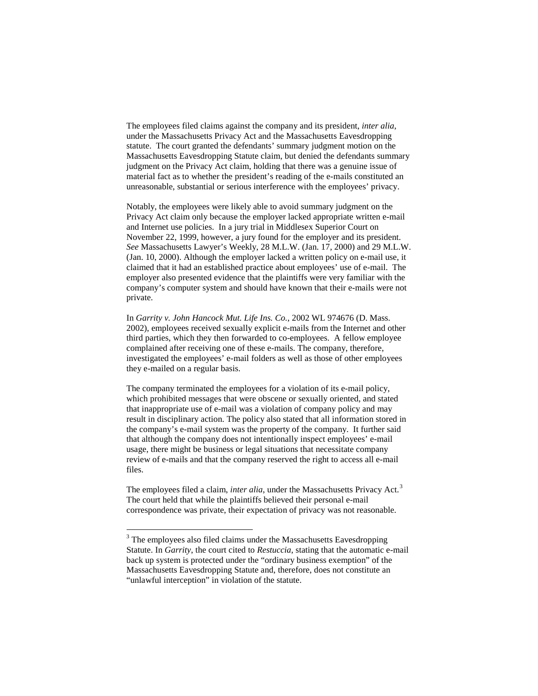The employees filed claims against the company and its president, *inter alia*, under the Massachusetts Privacy Act and the Massachusetts Eavesdropping statute. The court granted the defendants' summary judgment motion on the Massachusetts Eavesdropping Statute claim, but denied the defendants summary judgment on the Privacy Act claim, holding that there was a genuine issue of material fact as to whether the president's reading of the e-mails constituted an unreasonable, substantial or serious interference with the employees' privacy.

Notably, the employees were likely able to avoid summary judgment on the Privacy Act claim only because the employer lacked appropriate written e-mail and Internet use policies. In a jury trial in Middlesex Superior Court on November 22, 1999, however, a jury found for the employer and its president. *See* Massachusetts Lawyer's Weekly, 28 M.L.W. (Jan. 17, 2000) and 29 M.L.W. (Jan. 10, 2000). Although the employer lacked a written policy on e-mail use, it claimed that it had an established practice about employees' use of e-mail. The employer also presented evidence that the plaintiffs were very familiar with the company's computer system and should have known that their e-mails were not private.

In *Garrity v. John Hancock Mut. Life Ins. Co.*, 2002 WL 974676 (D. Mass. 2002), employees received sexually explicit e-mails from the Internet and other third parties, which they then forwarded to co-employees. A fellow employee complained after receiving one of these e-mails. The company, therefore, investigated the employees' e-mail folders as well as those of other employees they e-mailed on a regular basis.

The company terminated the employees for a violation of its e-mail policy, which prohibited messages that were obscene or sexually oriented, and stated that inappropriate use of e-mail was a violation of company policy and may result in disciplinary action. The policy also stated that all information stored in the company's e-mail system was the property of the company. It further said that although the company does not intentionally inspect employees' e-mail usage, there might be business or legal situations that necessitate company review of e-mails and that the company reserved the right to access all e-mail files.

The employees filed a claim, *inter alia*, under the Massachusetts Privacy Act.<sup>[3](#page-1-0)</sup> The court held that while the plaintiffs believed their personal e-mail correspondence was private, their expectation of privacy was not reasonable.

<span id="page-2-0"></span><sup>&</sup>lt;sup>3</sup> The employees also filed claims under the Massachusetts Eavesdropping Statute. In *Garrity*, the court cited to *Restuccia*, stating that the automatic e-mail back up system is protected under the "ordinary business exemption" of the Massachusetts Eavesdropping Statute and, therefore, does not constitute an "unlawful interception" in violation of the statute.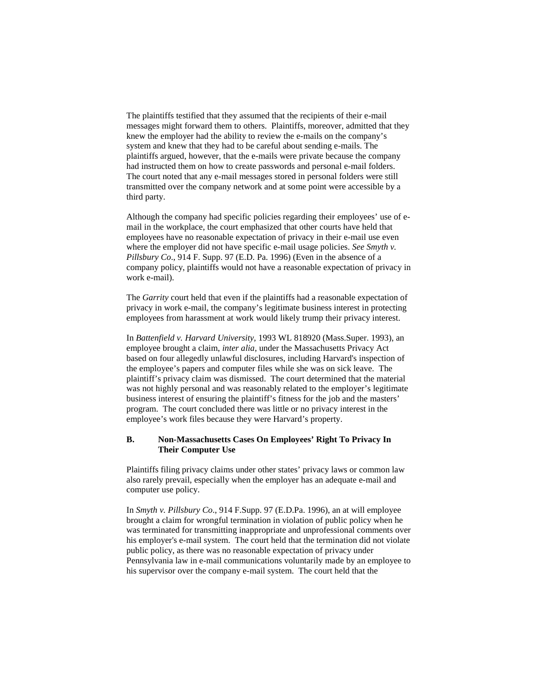The plaintiffs testified that they assumed that the recipients of their e-mail messages might forward them to others. Plaintiffs, moreover, admitted that they knew the employer had the ability to review the e-mails on the company's system and knew that they had to be careful about sending e-mails. The plaintiffs argued, however, that the e-mails were private because the company had instructed them on how to create passwords and personal e-mail folders. The court noted that any e-mail messages stored in personal folders were still transmitted over the company network and at some point were accessible by a third party.

Although the company had specific policies regarding their employees' use of email in the workplace, the court emphasized that other courts have held that employees have no reasonable expectation of privacy in their e-mail use even where the employer did not have specific e-mail usage policies. *See Smyth v. Pillsbury Co*., 914 F. Supp. 97 (E.D. Pa. 1996) (Even in the absence of a company policy, plaintiffs would not have a reasonable expectation of privacy in work e-mail).

The *Garrity* court held that even if the plaintiffs had a reasonable expectation of privacy in work e-mail, the company's legitimate business interest in protecting employees from harassment at work would likely trump their privacy interest.

In *Battenfield v. Harvard University,* 1993 WL 818920 (Mass.Super. 1993), an employee brought a claim, *inter alia*, under the Massachusetts Privacy Act based on four allegedly unlawful disclosures, including Harvard's inspection of the employee's papers and computer files while she was on sick leave. The plaintiff's privacy claim was dismissed. The court determined that the material was not highly personal and was reasonably related to the employer's legitimate business interest of ensuring the plaintiff's fitness for the job and the masters' program. The court concluded there was little or no privacy interest in the employee's work files because they were Harvard's property.

# **B. Non-Massachusetts Cases On Employees' Right To Privacy In Their Computer Use**

Plaintiffs filing privacy claims under other states' privacy laws or common law also rarely prevail, especially when the employer has an adequate e-mail and computer use policy.

In *Smyth v. Pillsbury Co*., 914 F.Supp. 97 (E.D.Pa. 1996), an at will employee brought a claim for wrongful termination in violation of public policy when he was terminated for transmitting inappropriate and unprofessional comments over his employer's e-mail system. The court held that the termination did not violate public policy, as there was no reasonable expectation of privacy under Pennsylvania law in e-mail communications voluntarily made by an employee to his supervisor over the company e-mail system. The court held that the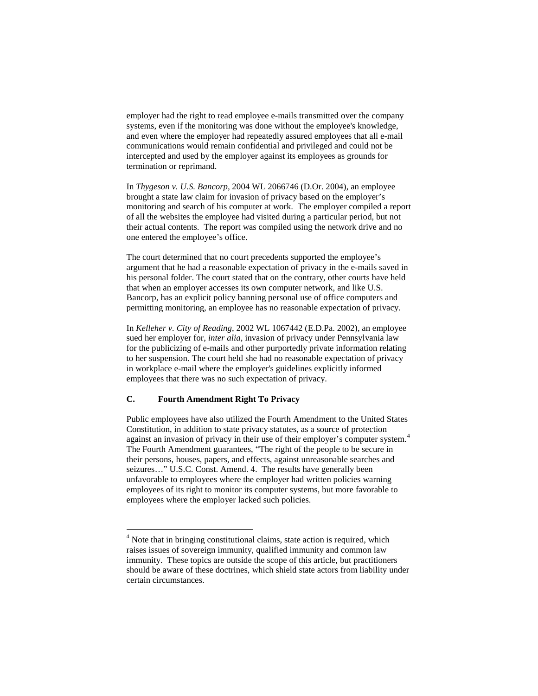employer had the right to read employee e-mails transmitted over the company systems, even if the monitoring was done without the employee's knowledge, and even where the employer had repeatedly assured employees that all e-mail communications would remain confidential and privileged and could not be intercepted and used by the employer against its employees as grounds for termination or reprimand.

In *Thygeson v. U.S. Bancorp,* 2004 WL 2066746 (D.Or. 2004), an employee brought a state law claim for invasion of privacy based on the employer's monitoring and search of his computer at work. The employer compiled a report of all the websites the employee had visited during a particular period, but not their actual contents. The report was compiled using the network drive and no one entered the employee's office.

The court determined that no court precedents supported the employee's argument that he had a reasonable expectation of privacy in the e-mails saved in his personal folder. The court stated that on the contrary, other courts have held that when an employer accesses its own computer network, and like U.S. Bancorp, has an explicit policy banning personal use of office computers and permitting monitoring, an employee has no reasonable expectation of privacy.

In *Kelleher v. City of Reading*, 2002 WL 1067442 (E.D.Pa. 2002), an employee sued her employer for, *inter alia*, invasion of privacy under Pennsylvania law for the publicizing of e-mails and other purportedly private information relating to her suspension. The court held she had no reasonable expectation of privacy in workplace e-mail where the employer's guidelines explicitly informed employees that there was no such expectation of privacy.

# **C. Fourth Amendment Right To Privacy**

Public employees have also utilized the Fourth Amendment to the United States Constitution, in addition to state privacy statutes, as a source of protection against an invasion of privacy in their use of their employer's computer system.<sup>[4](#page-2-0)</sup> The Fourth Amendment guarantees, "The right of the people to be secure in their persons, houses, papers, and effects, against unreasonable searches and seizures…" U.S.C. Const. Amend. 4. The results have generally been unfavorable to employees where the employer had written policies warning employees of its right to monitor its computer systems, but more favorable to employees where the employer lacked such policies.

<span id="page-4-0"></span><sup>&</sup>lt;sup>4</sup> Note that in bringing constitutional claims, state action is required, which raises issues of sovereign immunity, qualified immunity and common law immunity. These topics are outside the scope of this article, but practitioners should be aware of these doctrines, which shield state actors from liability under certain circumstances.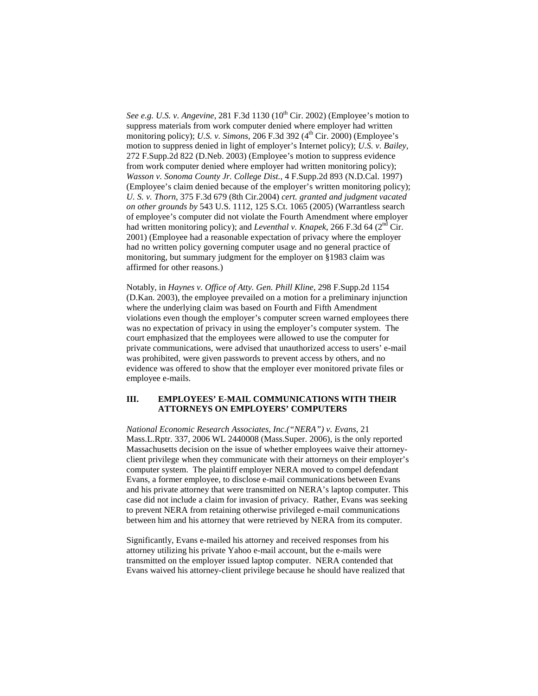*See e.g. U.S. v. Angevine*, 281 F.3d 1130 (10<sup>th</sup> Cir. 2002) (Employee's motion to suppress materials from work computer denied where employer had written monitoring policy); *U.S. v. Simons*, 206 F.3d 392 (4<sup>th</sup> Cir. 2000) (Employee's motion to suppress denied in light of employer's Internet policy); *U.S. v. Bailey*, 272 F.Supp.2d 822 (D.Neb. 2003) (Employee's motion to suppress evidence from work computer denied where employer had written monitoring policy); *Wasson v. Sonoma County Jr. College Dist.*, 4 F.Supp.2d 893 (N.D.Cal. 1997) (Employee's claim denied because of the employer's written monitoring policy); *U. S. v. Thorn,* 375 F.3d 679 (8th Cir.2004) *cert. granted and judgment vacated on other grounds by* 543 U.S. 1112, 125 S.Ct. 1065 (2005) (Warrantless search of employee's computer did not violate the Fourth Amendment where employer had written monitoring policy); and *Leventhal v. Knapek*, 266 F.3d 64 (2<sup>nd</sup> Cir. 2001) (Employee had a reasonable expectation of privacy where the employer had no written policy governing computer usage and no general practice of monitoring, but summary judgment for the employer on §1983 claim was affirmed for other reasons.)

Notably, in *Haynes v. Office of Atty. Gen. Phill Kline*, 298 F.Supp.2d 1154 (D.Kan. 2003), the employee prevailed on a motion for a preliminary injunction where the underlying claim was based on Fourth and Fifth Amendment violations even though the employer's computer screen warned employees there was no expectation of privacy in using the employer's computer system. The court emphasized that the employees were allowed to use the computer for private communications, were advised that unauthorized access to users' e-mail was prohibited, were given passwords to prevent access by others, and no evidence was offered to show that the employer ever monitored private files or employee e-mails.

#### **III. EMPLOYEES' E-MAIL COMMUNICATIONS WITH THEIR ATTORNEYS ON EMPLOYERS' COMPUTERS**

*National Economic Research Associates, Inc.("NERA") v. Evans*, 21 Mass.L.Rptr. 337, 2006 WL 2440008 (Mass.Super. 2006), is the only reported Massachusetts decision on the issue of whether employees waive their attorneyclient privilege when they communicate with their attorneys on their employer's computer system. The plaintiff employer NERA moved to compel defendant Evans, a former employee, to disclose e-mail communications between Evans and his private attorney that were transmitted on NERA's laptop computer. This case did not include a claim for invasion of privacy. Rather, Evans was seeking to prevent NERA from retaining otherwise privileged e-mail communications between him and his attorney that were retrieved by NERA from its computer.

Significantly, Evans e-mailed his attorney and received responses from his attorney utilizing his private Yahoo e-mail account, but the e-mails were transmitted on the employer issued laptop computer. NERA contended that Evans waived his attorney-client privilege because he should have realized that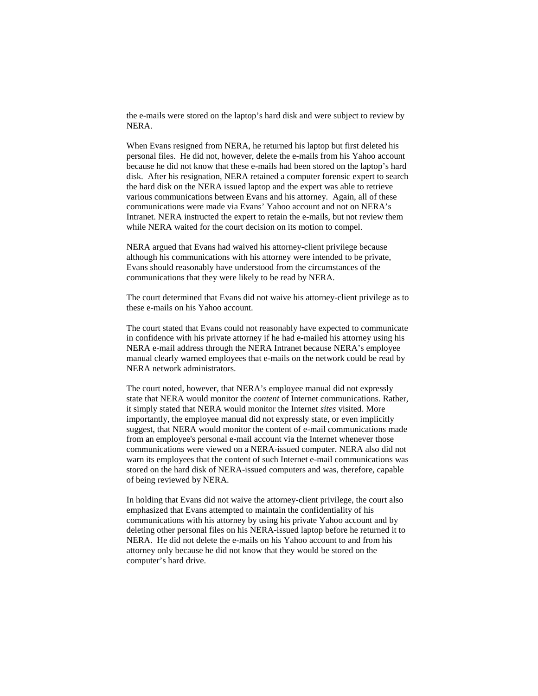the e-mails were stored on the laptop's hard disk and were subject to review by NERA.

When Evans resigned from NERA, he returned his laptop but first deleted his personal files. He did not, however, delete the e-mails from his Yahoo account because he did not know that these e-mails had been stored on the laptop's hard disk. After his resignation, NERA retained a computer forensic expert to search the hard disk on the NERA issued laptop and the expert was able to retrieve various communications between Evans and his attorney. Again, all of these communications were made via Evans' Yahoo account and not on NERA's Intranet. NERA instructed the expert to retain the e-mails, but not review them while NERA waited for the court decision on its motion to compel.

NERA argued that Evans had waived his attorney-client privilege because although his communications with his attorney were intended to be private, Evans should reasonably have understood from the circumstances of the communications that they were likely to be read by NERA.

The court determined that Evans did not waive his attorney-client privilege as to these e-mails on his Yahoo account.

The court stated that Evans could not reasonably have expected to communicate in confidence with his private attorney if he had e-mailed his attorney using his NERA e-mail address through the NERA Intranet because NERA's employee manual clearly warned employees that e-mails on the network could be read by NERA network administrators.

The court noted, however, that NERA's employee manual did not expressly state that NERA would monitor the *content* of Internet communications. Rather, it simply stated that NERA would monitor the Internet *sites* visited. More importantly, the employee manual did not expressly state, or even implicitly suggest, that NERA would monitor the content of e-mail communications made from an employee's personal e-mail account via the Internet whenever those communications were viewed on a NERA-issued computer. NERA also did not warn its employees that the content of such Internet e-mail communications was stored on the hard disk of NERA-issued computers and was, therefore, capable of being reviewed by NERA.

In holding that Evans did not waive the attorney-client privilege, the court also emphasized that Evans attempted to maintain the confidentiality of his communications with his attorney by using his private Yahoo account and by deleting other personal files on his NERA-issued laptop before he returned it to NERA. He did not delete the e-mails on his Yahoo account to and from his attorney only because he did not know that they would be stored on the computer's hard drive.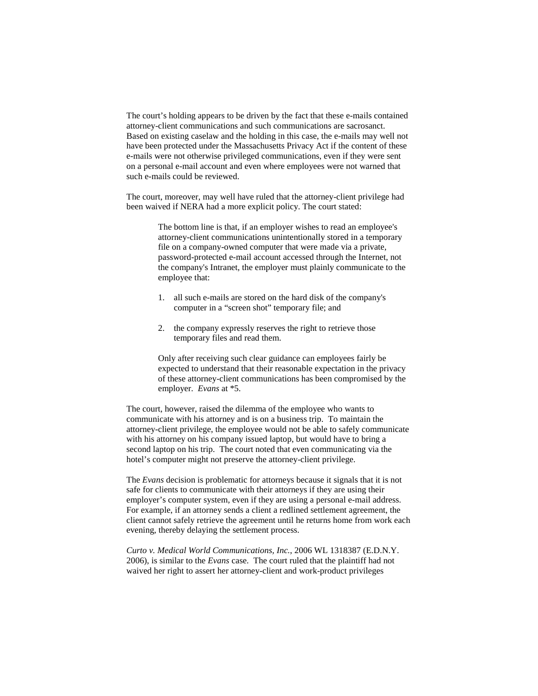The court's holding appears to be driven by the fact that these e-mails contained attorney-client communications and such communications are sacrosanct. Based on existing caselaw and the holding in this case, the e-mails may well not have been protected under the Massachusetts Privacy Act if the content of these e-mails were not otherwise privileged communications, even if they were sent on a personal e-mail account and even where employees were not warned that such e-mails could be reviewed.

The court, moreover, may well have ruled that the attorney-client privilege had been waived if NERA had a more explicit policy. The court stated:

> The bottom line is that, if an employer wishes to read an employee's attorney-client communications unintentionally stored in a temporary file on a company-owned computer that were made via a private, password-protected e-mail account accessed through the Internet, not the company's Intranet, the employer must plainly communicate to the employee that:

- 1. all such e-mails are stored on the hard disk of the company's computer in a "screen shot" temporary file; and
- 2. the company expressly reserves the right to retrieve those temporary files and read them.

Only after receiving such clear guidance can employees fairly be expected to understand that their reasonable expectation in the privacy of these attorney-client communications has been compromised by the employer. *Evans* at \*5.

The court, however, raised the dilemma of the employee who wants to communicate with his attorney and is on a business trip. To maintain the attorney-client privilege, the employee would not be able to safely communicate with his attorney on his company issued laptop, but would have to bring a second laptop on his trip. The court noted that even communicating via the hotel's computer might not preserve the attorney-client privilege.

The *Evans* decision is problematic for attorneys because it signals that it is not safe for clients to communicate with their attorneys if they are using their employer's computer system, even if they are using a personal e-mail address. For example, if an attorney sends a client a redlined settlement agreement, the client cannot safely retrieve the agreement until he returns home from work each evening, thereby delaying the settlement process.

*Curto v. Medical World Communications, Inc.*, 2006 WL 1318387 (E.D.N.Y. 2006), is similar to the *Evans* case. The court ruled that the plaintiff had not waived her right to assert her attorney-client and work-product privileges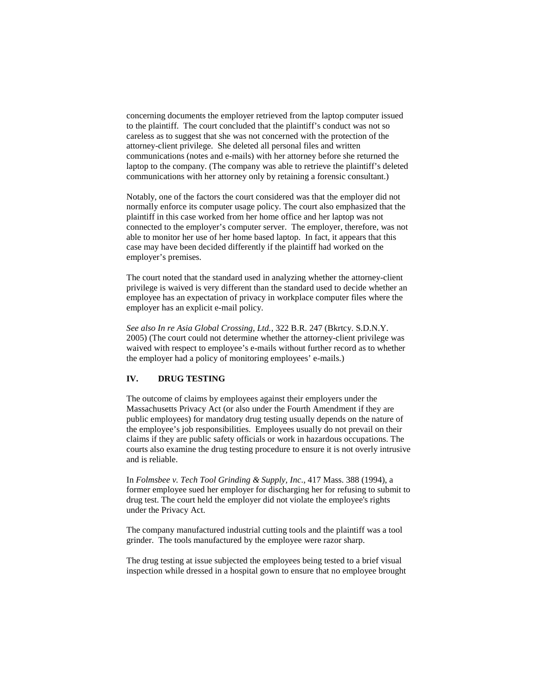concerning documents the employer retrieved from the laptop computer issued to the plaintiff. The court concluded that the plaintiff's conduct was not so careless as to suggest that she was not concerned with the protection of the attorney-client privilege. She deleted all personal files and written communications (notes and e-mails) with her attorney before she returned the laptop to the company. (The company was able to retrieve the plaintiff's deleted communications with her attorney only by retaining a forensic consultant.)

Notably, one of the factors the court considered was that the employer did not normally enforce its computer usage policy. The court also emphasized that the plaintiff in this case worked from her home office and her laptop was not connected to the employer's computer server. The employer, therefore, was not able to monitor her use of her home based laptop. In fact, it appears that this case may have been decided differently if the plaintiff had worked on the employer's premises.

The court noted that the standard used in analyzing whether the attorney-client privilege is waived is very different than the standard used to decide whether an employee has an expectation of privacy in workplace computer files where the employer has an explicit e-mail policy.

*See also In re Asia Global Crossing, Ltd.*, 322 B.R. 247 (Bkrtcy. S.D.N.Y. 2005) (The court could not determine whether the attorney-client privilege was waived with respect to employee's e-mails without further record as to whether the employer had a policy of monitoring employees' e-mails.)

# **IV. DRUG TESTING**

The outcome of claims by employees against their employers under the Massachusetts Privacy Act (or also under the Fourth Amendment if they are public employees) for mandatory drug testing usually depends on the nature of the employee's job responsibilities. Employees usually do not prevail on their claims if they are public safety officials or work in hazardous occupations. The courts also examine the drug testing procedure to ensure it is not overly intrusive and is reliable.

In *Folmsbee v. Tech Tool Grinding & Supply, Inc*., 417 Mass. 388 (1994), a former employee sued her employer for discharging her for refusing to submit to drug test. The court held the employer did not violate the employee's rights under the Privacy Act.

The company manufactured industrial cutting tools and the plaintiff was a tool grinder. The tools manufactured by the employee were razor sharp.

The drug testing at issue subjected the employees being tested to a brief visual inspection while dressed in a hospital gown to ensure that no employee brought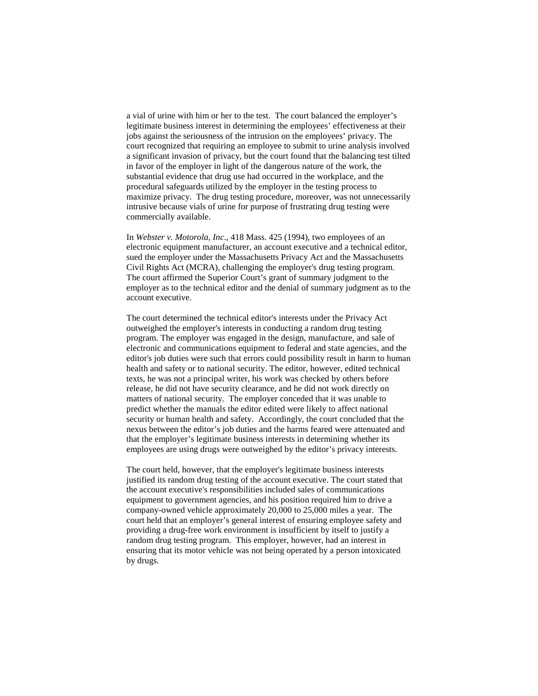a vial of urine with him or her to the test. The court balanced the employer's legitimate business interest in determining the employees' effectiveness at their jobs against the seriousness of the intrusion on the employees' privacy. The court recognized that requiring an employee to submit to urine analysis involved a significant invasion of privacy, but the court found that the balancing test tilted in favor of the employer in light of the dangerous nature of the work, the substantial evidence that drug use had occurred in the workplace, and the procedural safeguards utilized by the employer in the testing process to maximize privacy. The drug testing procedure, moreover, was not unnecessarily intrusive because vials of urine for purpose of frustrating drug testing were commercially available.

In *Webster v. Motorola, Inc*., 418 Mass. 425 (1994), two employees of an electronic equipment manufacturer, an account executive and a technical editor, sued the employer under the Massachusetts Privacy Act and the Massachusetts Civil Rights Act (MCRA), challenging the employer's drug testing program. The court affirmed the Superior Court's grant of summary judgment to the employer as to the technical editor and the denial of summary judgment as to the account executive.

The court determined the technical editor's interests under the Privacy Act outweighed the employer's interests in conducting a random drug testing program. The employer was engaged in the design, manufacture, and sale of electronic and communications equipment to federal and state agencies, and the editor's job duties were such that errors could possibility result in harm to human health and safety or to national security. The editor, however, edited technical texts, he was not a principal writer, his work was checked by others before release, he did not have security clearance, and he did not work directly on matters of national security. The employer conceded that it was unable to predict whether the manuals the editor edited were likely to affect national security or human health and safety. Accordingly, the court concluded that the nexus between the editor's job duties and the harms feared were attenuated and that the employer's legitimate business interests in determining whether its employees are using drugs were outweighed by the editor's privacy interests.

The court held, however, that the employer's legitimate business interests justified its random drug testing of the account executive. The court stated that the account executive's responsibilities included sales of communications equipment to government agencies, and his position required him to drive a company-owned vehicle approximately 20,000 to 25,000 miles a year. The court held that an employer's general interest of ensuring employee safety and providing a drug-free work environment is insufficient by itself to justify a random drug testing program. This employer, however, had an interest in ensuring that its motor vehicle was not being operated by a person intoxicated by drugs.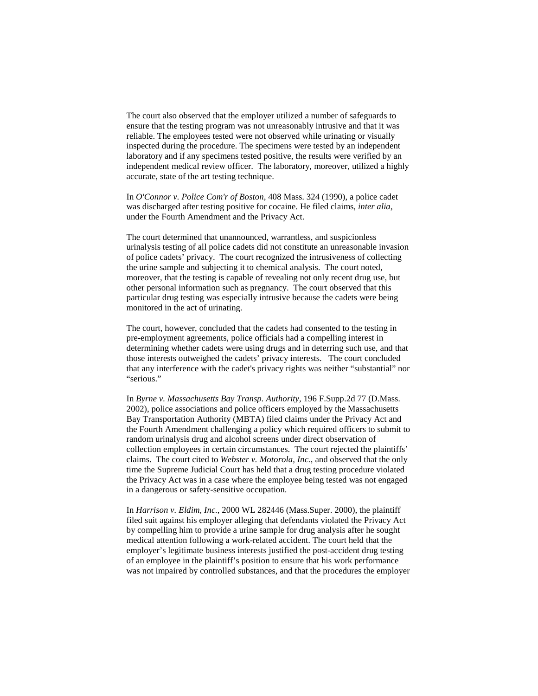The court also observed that the employer utilized a number of safeguards to ensure that the testing program was not unreasonably intrusive and that it was reliable. The employees tested were not observed while urinating or visually inspected during the procedure. The specimens were tested by an independent laboratory and if any specimens tested positive, the results were verified by an independent medical review officer. The laboratory, moreover, utilized a highly accurate, state of the art testing technique.

In *O'Connor v. Police Com'r of Boston*, 408 Mass. 324 (1990), a police cadet was discharged after testing positive for cocaine. He filed claims, *inter alia*, under the Fourth Amendment and the Privacy Act.

The court determined that unannounced, warrantless, and suspicionless urinalysis testing of all police cadets did not constitute an unreasonable invasion of police cadets' privacy. The court recognized the intrusiveness of collecting the urine sample and subjecting it to chemical analysis. The court noted, moreover, that the testing is capable of revealing not only recent drug use, but other personal information such as pregnancy. The court observed that this particular drug testing was especially intrusive because the cadets were being monitored in the act of urinating.

The court, however, concluded that the cadets had consented to the testing in pre-employment agreements, police officials had a compelling interest in determining whether cadets were using drugs and in deterring such use, and that those interests outweighed the cadets' privacy interests. The court concluded that any interference with the cadet's privacy rights was neither "substantial" nor "serious."

In *Byrne v. Massachusetts Bay Transp. Authority*, 196 F.Supp.2d 77 (D.Mass. 2002), police associations and police officers employed by the Massachusetts Bay Transportation Authority (MBTA) filed claims under the Privacy Act and the Fourth Amendment challenging a policy which required officers to submit to random urinalysis drug and alcohol screens under direct observation of collection employees in certain circumstances. The court rejected the plaintiffs' claims. The court cited to *Webster v. Motorola, Inc.*, and observed that the only time the Supreme Judicial Court has held that a drug testing procedure violated the Privacy Act was in a case where the employee being tested was not engaged in a dangerous or safety-sensitive occupation.

In *Harrison v. Eldim, Inc.*, 2000 WL 282446 (Mass.Super. 2000), the plaintiff filed suit against his employer alleging that defendants violated the Privacy Act by compelling him to provide a urine sample for drug analysis after he sought medical attention following a work-related accident. The court held that the employer's legitimate business interests justified the post-accident drug testing of an employee in the plaintiff's position to ensure that his work performance was not impaired by controlled substances, and that the procedures the employer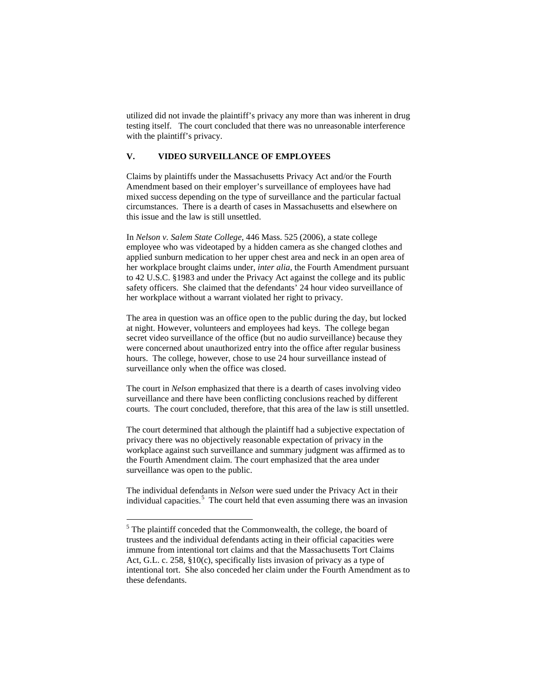utilized did not invade the plaintiff's privacy any more than was inherent in drug testing itself. The court concluded that there was no unreasonable interference with the plaintiff's privacy.

# **V. VIDEO SURVEILLANCE OF EMPLOYEES**

Claims by plaintiffs under the Massachusetts Privacy Act and/or the Fourth Amendment based on their employer's surveillance of employees have had mixed success depending on the type of surveillance and the particular factual circumstances. There is a dearth of cases in Massachusetts and elsewhere on this issue and the law is still unsettled.

In *Nelson v. Salem State College*, 446 Mass. 525 (2006), a state college employee who was videotaped by a hidden camera as she changed clothes and applied sunburn medication to her upper chest area and neck in an open area of her workplace brought claims under, *inter alia*, the Fourth Amendment pursuant to 42 U.S.C. §1983 and under the Privacy Act against the college and its public safety officers. She claimed that the defendants' 24 hour video surveillance of her workplace without a warrant violated her right to privacy.

The area in question was an office open to the public during the day, but locked at night. However, volunteers and employees had keys. The college began secret video surveillance of the office (but no audio surveillance) because they were concerned about unauthorized entry into the office after regular business hours. The college, however, chose to use 24 hour surveillance instead of surveillance only when the office was closed.

The court in *Nelson* emphasized that there is a dearth of cases involving video surveillance and there have been conflicting conclusions reached by different courts. The court concluded, therefore, that this area of the law is still unsettled.

The court determined that although the plaintiff had a subjective expectation of privacy there was no objectively reasonable expectation of privacy in the workplace against such surveillance and summary judgment was affirmed as to the Fourth Amendment claim. The court emphasized that the area under surveillance was open to the public.

The individual defendants in *Nelson* were sued under the Privacy Act in their individual capacities.<sup>[5](#page-4-0)</sup> The court held that even assuming there was an invasion

<span id="page-11-0"></span><sup>&</sup>lt;sup>5</sup> The plaintiff conceded that the Commonwealth, the college, the board of trustees and the individual defendants acting in their official capacities were immune from intentional tort claims and that the Massachusetts Tort Claims Act, G.L. c. 258, §10(c), specifically lists invasion of privacy as a type of intentional tort. She also conceded her claim under the Fourth Amendment as to these defendants.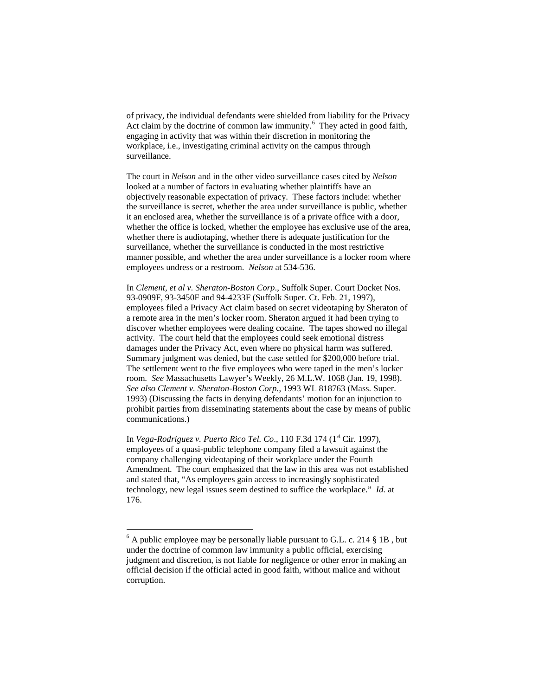of privacy, the individual defendants were shielded from liability for the Privacy Act claim by the doctrine of common law immunity.<sup>[6](#page-11-0)</sup> They acted in good faith, engaging in activity that was within their discretion in monitoring the workplace, i.e., investigating criminal activity on the campus through surveillance.

The court in *Nelson* and in the other video surveillance cases cited by *Nelson* looked at a number of factors in evaluating whether plaintiffs have an objectively reasonable expectation of privacy. These factors include: whether the surveillance is secret, whether the area under surveillance is public, whether it an enclosed area, whether the surveillance is of a private office with a door, whether the office is locked, whether the employee has exclusive use of the area, whether there is audiotaping, whether there is adequate justification for the surveillance, whether the surveillance is conducted in the most restrictive manner possible, and whether the area under surveillance is a locker room where employees undress or a restroom. *Nelson* at 534-536.

In *Clement, et al v. Sheraton-Boston Corp*., Suffolk Super. Court Docket Nos. 93-0909F, 93-3450F and 94-4233F (Suffolk Super. Ct. Feb. 21, 1997), employees filed a Privacy Act claim based on secret videotaping by Sheraton of a remote area in the men's locker room. Sheraton argued it had been trying to discover whether employees were dealing cocaine. The tapes showed no illegal activity. The court held that the employees could seek emotional distress damages under the Privacy Act, even where no physical harm was suffered. Summary judgment was denied, but the case settled for \$200,000 before trial. The settlement went to the five employees who were taped in the men's locker room. *See* Massachusetts Lawyer's Weekly, 26 M.L.W. 1068 (Jan. 19, 1998). *See also Clement v. Sheraton-Boston Corp.*, 1993 WL 818763 (Mass. Super. 1993) (Discussing the facts in denying defendants' motion for an injunction to prohibit parties from disseminating statements about the case by means of public communications.)

In *Vega-Rodriguez v. Puerto Rico Tel. Co.*, 110 F.3d 174 (1<sup>st</sup> Cir. 1997), employees of a quasi-public telephone company filed a lawsuit against the company challenging videotaping of their workplace under the Fourth Amendment. The court emphasized that the law in this area was not established and stated that, "As employees gain access to increasingly sophisticated technology, new legal issues seem destined to suffice the workplace." *Id.* at 176.

 $6$  A public employee may be personally liable pursuant to G.L. c. 214 § 1B, but under the doctrine of common law immunity a public official, exercising judgment and discretion, is not liable for negligence or other error in making an official decision if the official acted in good faith, without malice and without corruption.